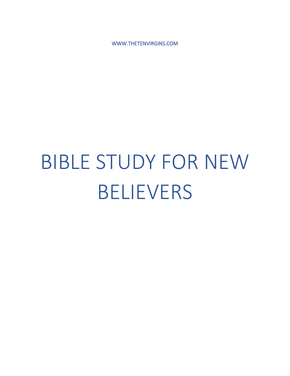WWW.THETENVIRGINS.COM

# BIBLE STUDY FOR NEW BELIEVERS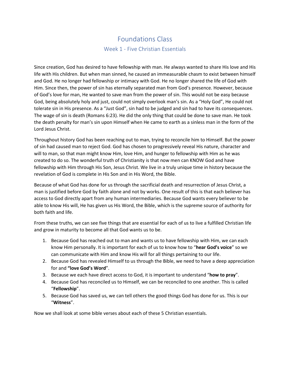# Foundations Class Week 1 - Five Christian Essentials

Since creation, God has desired to have fellowship with man. He always wanted to share His love and His life with His children. But when man sinned, he caused an immeasurable chasm to exist between himself and God. He no longer had fellowship or intimacy with God. He no longer shared the life of God with Him. Since then, the power of sin has eternally separated man from God's presence. However, because of God's love for man, He wanted to save man from the power of sin. This would not be easy because God, being absolutely holy and just, could not simply overlook man's sin. As a "Holy God", He could not tolerate sin in His presence. As a "Just God", sin had to be judged and sin had to have its consequences. The wage of sin is death (Romans 6:23). He did the only thing that could be done to save man. He took the death penalty for man's sin upon Himself when He came to earth as a sinless man in the form of the Lord Jesus Christ.

Throughout history God has been reaching out to man, trying to reconcile him to Himself. But the power of sin had caused man to reject God. God has chosen to progressively reveal His nature, character and will to man, so that man might know Him, love Him, and hunger to fellowship with Him as he was created to do so. The wonderful truth of Christianity is that now men can KNOW God and have fellowship with Him through His Son, Jesus Christ. We live in a truly unique time in history because the revelation of God is complete in His Son and in His Word, the Bible.

Because of what God has done for us through the sacrificial death and resurrection of Jesus Christ, a man is justified before God by faith alone and not by works. One result of this is that each believer has access to God directly apart from any human intermediaries. Because God wants every believer to be able to know His will, He has given us His Word, the Bible, which is the supreme source of authority for both faith and life.

From these truths, we can see five things that are essential for each of us to live a fulfilled Christian life and grow in maturity to become all that God wants us to be.

- 1. Because God has reached out to man and wants us to have fellowship with Him, we can each know Him personally. It is important for each of us to know how to "**hear God's voice**" so we can communicate with Him and know His will for all things pertaining to our life.
- 2. Because God has revealed Himself to us through the Bible, we need to have a deep appreciation for and **"love God's Word**".
- 3. Because we each have direct access to God, it is important to understand "**how to pray**".
- 4. Because God has reconciled us to Himself, we can be reconciled to one another. This is called "**Fellowship**".
- 5. Because God has saved us, we can tell others the good things God has done for us. This is our "**Witness**".

Now we shall look at some bible verses about each of these 5 Christian essentials.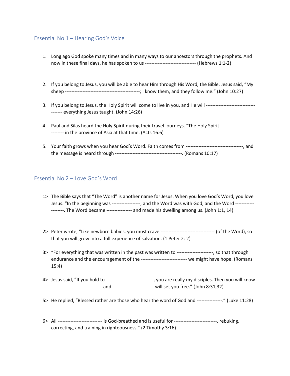# Essential No 1 – Hearing God's Voice

- 1. Long ago God spoke many times and in many ways to our ancestors through the prophets. And now in these final days, he has spoken to us -------------------------------- (Hebrews 1:1-2)
- 2. If you belong to Jesus, you will be able to hear Him through His Word, the Bible. Jesus said, "My sheep -----------------------------------------------; I know them, and they follow me." (John 10:27)
- 3. If you belong to Jesus, the Holy Spirit will come to live in you, and He will ------------------------------------ everything Jesus taught. (John 14:26)
- 4. Paul and Silas heard the Holy Spirit during their travel journeys. "The Holy Spirit ------------------------------ in the province of Asia at that time. (Acts 16:6)
- 5. Your faith grows when you hear God's Word. Faith comes from ------------------------------------, and the message is heard through ------------------------------------------. (Romans 10:17)

## Essential No 2 – Love God's Word

- 1> The Bible says that "The Word" is another name for Jesus. When you love God's Word, you love Jesus. "In the beginning was -----------------, and the Word was with God, and the Word --------------------. The Word became ---------------- and made his dwelling among us. (John 1:1, 14)
- 2> Peter wrote, "Like newborn babies, you must crave ---------------------------------- (of the Word), so that you will grow into a full experience of salvation. (1 Peter 2: 2)
- 3> "For everything that was written in the past was written to -----------------------, so that through endurance and the encouragement of the ----------------------------- we might have hope. (Romans 15:4)
- 4> Jesus said, "If you hold to ------------------------------, you are really my disciples. Then you will know -------------------------------- and -------------------------- will set you free." (John 8:31,32)
- 5> He replied, "Blessed rather are those who hear the word of God and ----------------." (Luke 11:28)
- 6> All ---------------------------- is God-breathed and is useful for ---------------------------, rebuking, correcting, and training in righteousness." (2 Timothy 3:16)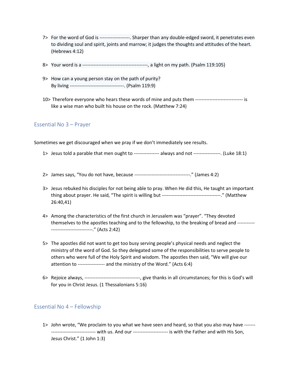- 7> For the word of God is -------------------. Sharper than any double-edged sword, it penetrates even to dividing soul and spirit, joints and marrow; it judges the thoughts and attitudes of the heart. (Hebrews 4:12)
- 8> Your word is a -----------------------------------------, a light on my path. (Psalm 119:105)
- 9> How can a young person stay on the path of purity? By living ----------------------------------. (Psalm 119:9)
- 10> Therefore everyone who hears these words of mine and puts them ------------------------------ is like a wise man who built his house on the rock. (Matthew 7:24)

## Essential No 3 – Prayer

Sometimes we get discouraged when we pray if we don't immediately see results.

- 1> Jesus told a parable that men ought to ---------------- always and not -----------------. (Luke 18:1)
- 2> James says, "You do not have, because -----------------------------------." (James 4:2)
- 3> Jesus rebuked his disciples for not being able to pray. When He did this, He taught an important thing about prayer. He said, "The spirit is willing but -------------------------------------." (Matthew 26:40,41)
- 4> Among the characteristics of the first church in Jerusalem was "prayer". "They devoted themselves to the apostles teaching and to the fellowship, to the breaking of bread and ----------- --------------------------." (Acts 2:42)
- 5> The apostles did not want to get too busy serving people's physical needs and neglect the ministry of the word of God. So they delegated some of the responsibilities to serve people to others who were full of the Holy Spirit and wisdom. The apostles then said, "We will give our attention to ----------------- and the ministry of the Word." (Acts 6:4)
- 6> Rejoice always, -----------------------------------, give thanks in all circumstances; for this is God's will for you in Christ Jesus. (1 Thessalonians 5:16)

## Essential No 4 – Fellowship

1> John wrote, "We proclaim to you what we have seen and heard, so that you also may have ------- ---------------------------- with us. And our ---------------------- is with the Father and with His Son, Jesus Christ." (1 John 1:3)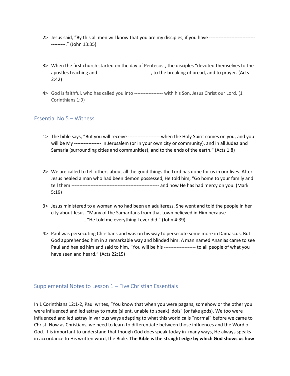- 2> Jesus said, "By this all men will know that you are my disciples, if you have ----------------------------- ---------." (John 13:35)
- 3> When the first church started on the day of Pentecost, the disciples "devoted themselves to the apostles teaching and ---------------------------------, to the breaking of bread, and to prayer. (Acts 2:42)
- 4> God is faithful, who has called you into ------------------ with his Son, Jesus Christ our Lord. (1 Corinthians 1:9)

## Essential No 5 – Witness

- 1> The bible says, "But you will receive -------------------- when the Holy Spirit comes on you; and you will be My ----------------- in Jerusalem (or in your own city or community), and in all Judea and Samaria (surrounding cities and communities), and to the ends of the earth." (Acts 1:8)
- 2> We are called to tell others about all the good things the Lord has done for us in our lives. After Jesus healed a man who had been demon possessed, He told him, "Go home to your family and tell them ------------------------------------------------------- and how He has had mercy on you. (Mark 5:19)
- 3> Jesus ministered to a woman who had been an adulteress. She went and told the people in her city about Jesus. "Many of the Samaritans from that town believed in Him because ----------------- ---------------------, "He told me everything I ever did." (John 4:39)
- 4> Paul was persecuting Christians and was on his way to persecute some more in Damascus. But God apprehended him in a remarkable way and blinded him. A man named Ananias came to see Paul and healed him and said to him, "You will be his -------------------- to all people of what you have seen and heard." (Acts 22:15)

## Supplemental Notes to Lesson 1 – Five Christian Essentials

In 1 Corinthians 12:1-2, Paul writes, "You know that when you were pagans, somehow or the other you were influenced and led astray to mute (silent, unable to speak) idols" (or fake gods). We too were influenced and led astray in various ways adapting to what this world calls "normal" before we came to Christ. Now as Christians, we need to learn to differentiate between those influences and the Word of God. It is important to understand that though God does speak today in many ways, He always speaks in accordance to His written word, the Bible. **The Bible is the straight edge by which God shows us how**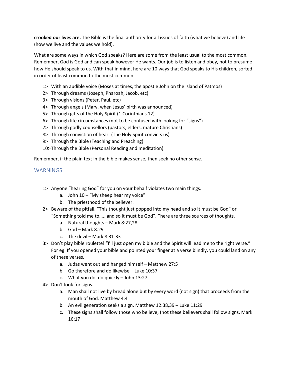**crooked our lives are.** The Bible is the final authority for all issues of faith (what we believe) and life (how we live and the values we hold).

What are some ways in which God speaks? Here are some from the least usual to the most common. Remember, God is God and can speak however He wants. Our job is to listen and obey, not to presume how He should speak to us. With that in mind, here are 10 ways that God speaks to His children, sorted in order of least common to the most common.

- 1> With an audible voice (Moses at times, the apostle John on the island of Patmos)
- 2> Through dreams (Joseph, Pharoah, Jacob, etc)
- 3> Through visions (Peter, Paul, etc)
- 4> Through angels (Mary, when Jesus' birth was announced)
- 5> Through gifts of the Holy Spirit (1 Corinthians 12)
- 6> Through life circumstances (not to be confused with looking for "signs")
- 7> Through godly counsellors (pastors, elders, mature Christians)
- 8> Through conviction of heart (The Holy Spirit convicts us)
- 9> Through the Bible (Teaching and Preaching)
- 10>Through the Bible (Personal Reading and meditation)

Remember, if the plain text in the bible makes sense, then seek no other sense.

## **WARNINGS**

- 1> Anyone "hearing God" for you on your behalf violates two main things.
	- a. John 10 "My sheep hear my voice"
	- b. The priesthood of the believer.
- 2> Beware of the pitfall, "This thought just popped into my head and so it must be God" or "Something told me to….. and so it must be God". There are three sources of thoughts.
	- a. Natural thoughts Mark 8:27,28
	- b. God Mark 8:29
	- c. The devil Mark  $8:31-33$
- 3> Don't play bible roulette! "I'll just open my bible and the Spirit will lead me to the right verse." For eg: If you opened your bible and pointed your finger at a verse blindly, you could land on any of these verses.
	- a. Judas went out and hanged himself Matthew 27:5
	- b. Go therefore and do likewise Luke 10:37
	- c. What you do, do quickly John 13:27
- 4> Don't look for signs.
	- a. Man shall not live by bread alone but by every word (not sign) that proceeds from the mouth of God. Matthew 4:4
	- b. An evil generation seeks a sign. Matthew 12:38,39 Luke 11:29
	- c. These signs shall follow those who believe; (not these believers shall follow signs. Mark 16:17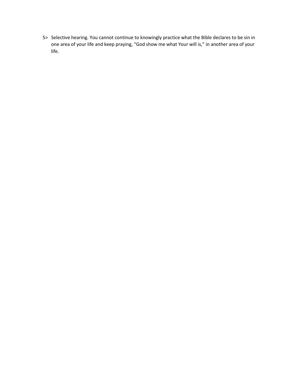5> Selective hearing. You cannot continue to knowingly practice what the Bible declares to be sin in one area of your life and keep praying, "God show me what Your will is," in another area of your life.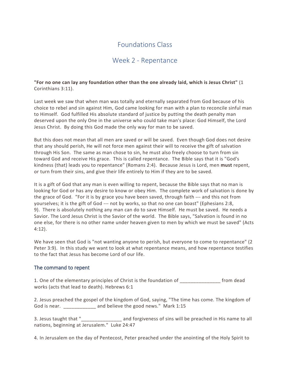# Week 2 - Repentance

**"For no one can lay any foundation other than the one already laid, which is Jesus Christ"** (1 Corinthians 3:11).

Last week we saw that when man was totally and eternally separated from God because of his choice to rebel and sin against Him, God came looking for man with a plan to reconcile sinful man to Himself. God fulfilled His absolute standard of justice by putting the death penalty man deserved upon the only One in the universe who could take man's place: God Himself, the Lord Jesus Christ. By doing this God made the only way for man to be saved.

But this does not mean that all men are saved or will be saved. Even though God does not desire that any should perish, He will not force men against their will to receive the gift of salvation through His Son. The same as man chose to sin, he must also freely choose to turn from sin toward God and receive His grace. This is called repentance. The Bible says that it is "God's kindness (that) leads you to repentance" (Romans 2:4). Because Jesus is Lord, men **must** repent, or turn from their sins, and give their life entirely to Him if they are to be saved.

It is a gift of God that any man is even willing to repent, because the Bible says that no man is looking for God or has any desire to know or obey Him. The complete work of salvation is done by the grace of God. "For it is by grace you have been saved, through faith --- and this not from yourselves; it is the gift of God --- not by works, so that no one can boast" (Ephesians 2:8, 9). There is absolutely nothing any man can do to save Himself. He must be saved. He needs a Savior. The Lord Jesus Christ is the Savior of the world. The Bible says, "Salvation is found in no one else, for there is no other name under heaven given to men by which we must be saved" (Acts 4:12).

We have seen that God is "not wanting anyone to perish, but everyone to come to repentance" (2 Peter 3:9). In this study we want to look at what repentance means, and how repentance testifies to the fact that Jesus has become Lord of our life.

## The command to repent

1. One of the elementary principles of Christ is the foundation of \_\_\_\_\_\_\_\_\_\_\_\_\_\_\_ from dead works (acts that lead to death). Hebrews 6:1

2. Jesus preached the gospel of the kingdom of God, saying, "The time has come. The kingdom of God is near. **Example 1:** The and believe the good news." Mark 1:15

3. Jesus taught that "\_\_\_\_\_\_\_\_\_\_\_\_\_\_\_ and forgiveness of sins will be preached in His name to all nations, beginning at Jerusalem." Luke 24:47

4. In Jerusalem on the day of Pentecost, Peter preached under the anointing of the Holy Spirit to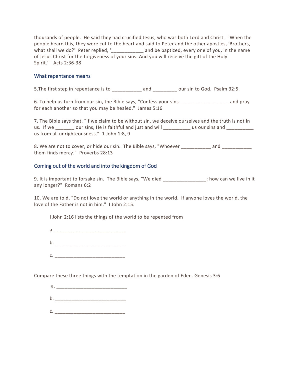thousands of people. He said they had crucified Jesus, who was both Lord and Christ. "When the people heard this, they were cut to the heart and said to Peter and the other apostles, 'Brothers, what shall we do?' Peter replied, '\_\_\_\_\_\_\_\_\_\_\_\_\_\_ and be baptized, every one of you, in the name of Jesus Christ for the forgiveness of your sins. And you will receive the gift of the Holy Spirit.'" Acts 2:36-38

## What repentance means

5. The first step in repentance is to \_\_\_\_\_\_\_\_\_\_\_ and \_\_\_\_\_\_\_\_ our sin to God. Psalm 32:5.

6. To help us turn from our sin, the Bible says, "Confess your sins \_\_\_\_\_\_\_\_\_\_\_\_\_\_\_\_\_\_ and pray for each another so that you may be healed." James 5:16

7. The Bible says that, "If we claim to be without sin, we deceive ourselves and the truth is not in us. If we \_\_\_\_\_\_\_ our sins, He is faithful and just and will example us our sins and \_\_\_\_\_\_\_ us from all unrighteousness." 1 John 1:8, 9

8. We are not to cover, or hide our sin. The Bible says, "Whoever \_\_\_\_\_\_\_\_\_\_\_ and them finds mercy." Proverbs 28:13

## Coming out of the world and into the kingdom of God

9. It is important to forsake sin. The Bible says, "We died \_\_\_\_\_\_\_\_\_\_\_\_\_; how can we live in it any longer?" Romans 6:2

10. We are told, "Do not love the world or anything in the world. If anyone loves the world, the love of the Father is not in him." I John 2:15.

I John 2:16 lists the things of the world to be repented from

- a. \_\_\_\_\_\_\_\_\_\_\_\_\_\_\_\_\_\_\_\_\_\_\_\_\_\_  $b.$
- c. \_\_\_\_\_\_\_\_\_\_\_\_\_\_\_\_\_\_\_\_\_\_\_\_\_\_

Compare these three things with the temptation in the garden of Eden. Genesis 3:6

- a. \_\_\_\_\_\_\_\_\_\_\_\_\_\_\_\_\_\_\_\_\_\_\_\_\_\_  $b.$
- $c.$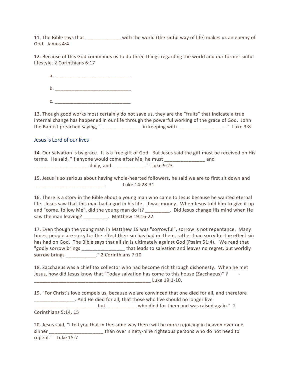11. The Bible says that \_\_\_\_\_\_\_\_\_\_\_\_\_ with the world (the sinful way of life) makes us an enemy of God. James 4:4

12. Because of this God commands us to do three things regarding the world and our former sinful lifestyle. 2 Corinthians 6:17

 a. \_\_\_\_\_\_\_\_\_\_\_\_\_\_\_\_\_\_\_\_\_\_\_\_\_\_\_\_  $b.$ c. \_\_\_\_\_\_\_\_\_\_\_\_\_\_\_\_\_\_\_\_\_\_\_\_\_\_\_\_

13. Though good works most certainly do not save us, they are the "fruits" that indicate a true internal change has happened in our life through the powerful working of the grace of God. John the Baptist preached saying, "\_\_\_\_\_\_\_\_\_\_\_\_\_\_\_ in keeping with \_\_\_\_\_\_\_\_\_\_\_\_\_\_\_\_...." Luke 3:8

## Jesus is Lord of our lives

14. Our salvation is by grace. It is a free gift of God. But Jesus said the gift must be received on His terms. He said, "If anyone would come after Me, he must \_\_\_\_\_\_\_\_\_\_\_\_\_\_\_ and \_\_\_\_\_\_\_\_\_\_\_\_\_\_\_\_\_\_\_\_ daily, and \_\_\_\_\_\_\_\_\_\_\_\_." Luke 9:23

15. Jesus is so serious about having whole-hearted followers, he said we are to first sit down and  $\frac{1}{2}$  Luke 14:28-31

16. There is a story in the Bible about a young man who came to Jesus because he wanted eternal life. Jesus saw that this man had a god in his life. It was money. When Jesus told him to give it up and "come, follow Me", did the young man do it? \_\_\_\_\_\_\_\_\_\_. Did Jesus change His mind when He saw the man leaving? \_\_\_\_\_\_\_\_\_. Matthew 19:16-22

17. Even though the young man in Matthew 19 was "sorrowful", sorrow is not repentance. Many times, people are sorry for the effect their sin has had on them, rather than sorry for the effect sin has had on God. The Bible says that all sin is ultimately against God (Psalm 51:4). We read that "godly sorrow brings extended that leads to salvation and leaves no regret, but worldly sorrow brings \_\_\_\_\_\_\_\_\_\_\_." 2 Corinthians 7:10

18. Zacchaeus was a chief tax collector who had become rich through dishonesty. When he met Jesus, how did Jesus know that "Today salvation has come to this house (Zacchaeus)" ? -

\_\_\_\_\_\_\_\_\_\_\_\_\_\_\_\_\_\_\_\_\_\_\_\_\_\_\_\_\_\_\_\_\_\_\_\_\_\_\_\_\_\_\_ Luke 19:1-10.

19. "For Christ's love compels us, because we are convinced that one died for all, and therefore \_\_\_\_\_\_\_\_\_\_\_\_\_\_\_. And He died for all, that those who live should no longer live

\_\_\_\_\_\_\_\_\_\_\_\_\_\_\_\_\_\_\_\_\_\_\_ but \_\_\_\_\_\_\_\_\_\_\_ who died for them and was raised again." 2 Corinthians 5:14, 15

20. Jesus said, "I tell you that in the same way there will be more rejoicing in heaven over one sinner \_\_\_\_\_\_\_\_\_\_\_\_\_\_\_\_\_\_\_\_\_\_\_\_\_\_than over ninety-nine righteous persons who do not need to repent." Luke 15:7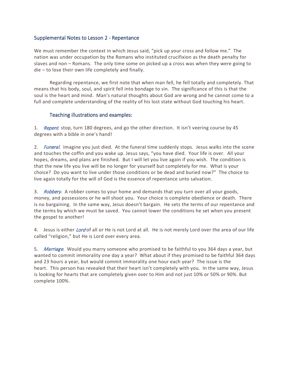## Supplemental Notes to Lesson 2 - Repentance

We must remember the context in which Jesus said, "pick up your cross and follow me." The nation was under occupation by the Romans who instituted crucifixion as the death penalty for slaves and non – Romans. The only time some on picked up a cross was when they were going to die – to lose their own life completely and finally.

 Regarding repentance, we first note that when man fell, he fell totally and completely. That means that his body, soul, and spirit fell into bondage to sin. The significance of this is that the soul is the heart and mind. Man's natural thoughts about God are wrong and he cannot come to a full and complete understanding of the reality of his lost state without God touching his heart.

## Teaching illustrations and examples:

1. Repent. stop, turn 180 degrees, and go the other direction. It isn't veering course by 45 degrees with a bible in one's hand!

2. Funeral. Imagine you just died. At the funeral time suddenly stops. Jesus walks into the scene and touches the coffin and you wake up. Jesus says, "you have died. Your life is over. All your hopes, dreams, and plans are finished. But I will let you live again if you wish. The condition is that the new life you live will be no longer for yourself but completely for me. What is your choice? Do you want to live under those conditions or be dead and buried now?" The choice to live again totally for the will of God is the essence of repentance unto salvation.

3. *Robbery*. A robber comes to your home and demands that you turn over all your goods, money, and possessions or he will shoot you. Your choice is complete obedience or death. There is no bargaining. In the same way, Jesus doesn't bargain. He sets the terms of our repentance and the terms by which we must be saved. You cannot lower the conditions he set when you present the gospel to another!

4. Jesus is either Lord of all or He is not Lord at all. He is not merely Lord over the area of our life called "religion," but He is Lord over every area.

5. *Marriage*. Would you marry someone who promised to be faithful to you 364 days a year, but wanted to commit immorality one day a year? What about if they promised to be faithful 364 days and 23 hours a year, but would commit immorality one hour each year? The issue is the heart. This person has revealed that their heart isn't completely with you. In the same way, Jesus is looking for hearts that are completely given over to Him and not just 10% or 50% or 90%. But complete 100%.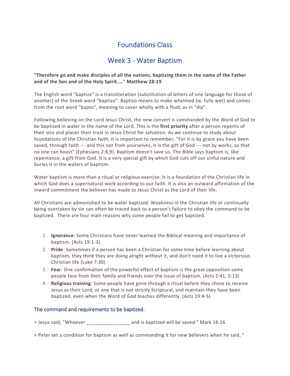# Week 3 - Water Baptism

## **"Therefore go and make disciples of all the nations, baptizing them in the name of the Father and of the Son and of the Holy Spirit...." Matthew 28:19**

The English word "baptize" is a transliteration (substitution of letters of one language for those of another) of the Greek word "baptizo". Baptizo means to make whelmed (ie. fully wet) and comes from the root word "bapto", meaning to cover wholly with a fluid, as in "dip".

Following believing on the Lord Jesus Christ, the new convert is commanded by the Word of God to be baptized in water in the name of the Lord. This is the **first priority** after a person repents of their sins and places their trust in Jesus Christ for salvation. As we continue to study about foundations of the Christian faith, it is important to remember, "For it is by grace you have been saved, through faith --- and this not from yourselves, it is the gift of God --- not by works, so that no one can boast" (Ephesians 2:8,9). Baptism doesn't save us. The Bible says baptism is, like repentance, a gift from God. It is a very special gift by which God cuts off our sinful nature and buries it in the waters of baptism.

Water baptism is more than a ritual or religious exercise. It is a foundation of the Christian life in which God does a supernatural work according to our faith. It is also an outward affirmation of the inward commitment the believer has made to Jesus Christ as the Lord of their life.

All Christians are admonished to be water baptized. Weakness in the Christian life or continually being overtaken by sin can often be traced back to a person's failure to obey the command to be baptized. There are four main reasons why some people fail to get baptized.

- 1. **Ignorance**: Some Christians have never learned the Biblical meaning and importance of baptism. (Acts 19:1-3)
- 2. **Pride**: Sometimes if a person has been a Christian for some time before learning about baptism, they think they are doing alright without it, and don't need it to live a victorious Christian life (Luke 7:30)
- 3. **Fear**: One confirmation of the powerful effect of baptism is the great opposition some people face from their family and friends over the issue of baptism. (Acts 2:41, 5:13)
- 4. **Religious training**: Some people have gone through a ritual before they chose to receive Jesus as their Lord, or one that is not strictly Scriptural, and maintain they have been baptized, even when the Word of God teaches differently. (Acts 19:4-5)

## The command and requirements to be baptized.

> Jesus said, "Whoever \_\_\_\_\_\_\_\_\_\_\_\_\_\_\_\_ and is baptized will be saved." Mark 16:16

> Peter set a condition for baptism as well as commanding it for new believers when he said, "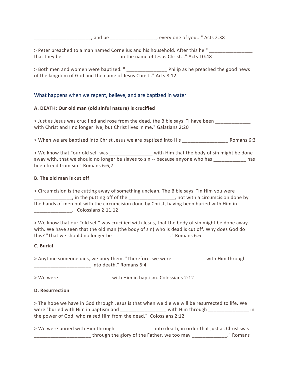\_\_\_\_\_\_\_\_\_\_\_\_\_\_\_\_\_\_\_\_\_, and be \_\_\_\_\_\_\_\_\_\_\_\_\_\_\_\_\_, every one of you..." Acts 2:38

> Peter preached to a man named Cornelius and his household. After this he " that they be \_\_\_\_\_\_\_\_\_\_\_\_\_\_\_\_\_\_\_\_\_ in the name of Jesus Christ..." Acts 10:48

> Both men and women were baptized. " The philip as he preached the good news of the kingdom of God and the name of Jesus Christ.." Acts 8:12

## What happens when we repent, believe, and are baptized in water

## **A. DEATH: Our old man (old sinful nature) is crucified**

> Just as Jesus was crucified and rose from the dead, the Bible says, "I have been \_\_\_\_\_\_\_\_\_\_\_\_\_ with Christ and I no longer live, but Christ lives in me." Galatians 2:20

> When we are baptized into Christ Jesus we are baptized into His \_\_\_\_\_\_\_\_\_\_\_\_\_\_\_\_\_ Romans 6:3

> We know that "our old self was \_\_\_\_\_\_\_\_\_\_\_\_\_\_\_ with Him that the body of sin might be done away with, that we should no longer be slaves to sin -- because anyone who has \_\_\_\_\_\_\_\_\_\_\_\_\_ has been freed from sin." Romans 6:6,7

#### **B. The old man is cut off**

> Circumcision is the cutting away of something unclean. The Bible says, "In Him you were \_\_\_\_\_\_\_\_\_\_\_\_\_\_, in the putting off of the \_\_\_\_\_\_\_\_\_\_\_\_\_\_\_\_\_, not with a circumcision done by the hands of men but with the circumcision done by Christ, having been buried with Him in \_\_\_\_\_\_\_\_\_\_\_\_\_\_." Colossians 2:11,12

> We know that our "old self" was crucified with Jesus, that the body of sin might be done away with. We have seen that the old man (the body of sin) who is dead is cut off. Why does God do this? "That we should no longer be \_\_\_\_\_\_\_\_\_\_\_\_\_\_\_\_\_\_\_\_\_." Romans 6:6

## **C. Burial**

> Anytime someone dies, we bury them. "Therefore, we were \_\_\_\_\_\_\_\_\_\_\_\_\_ with Him through \_\_\_\_\_\_\_\_\_\_\_\_\_\_\_\_\_\_\_\_\_ into death." Romans 6:4

> We were \_\_\_\_\_\_\_\_\_\_\_\_\_\_\_\_\_\_\_ with Him in baptism. Colossians 2:12

## **D. Resurrection**

> The hope we have in God through Jesus is that when we die we will be resurrected to life. We were "buried with Him in baptism and with Him through with Him through with Him through with Him through with Him through with Him through with Him through with Him through with Him through with Him through with Him throug the power of God, who raised Him from the dead." Colossians 2:12

> We were buried with Him through \_\_\_\_\_\_\_\_\_\_\_\_\_\_\_\_ into death, in order that just as Christ was \_\_\_\_\_\_\_\_\_\_\_\_\_\_\_\_\_\_\_\_\_ through the glory of the Father, we too may \_\_\_\_\_\_\_\_\_\_\_\_\_." Romans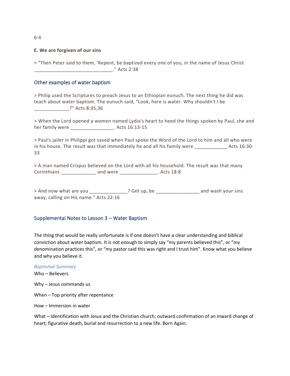#### **E. We are forgiven of our sins**

> "Then Peter said to them, 'Repent, be baptized every one of you, in the name of Jesus Christ \_\_\_\_\_\_\_\_\_\_\_\_\_\_\_\_\_\_\_\_\_\_\_\_\_\_\_\_\_." Acts 2:38

#### Other examples of water baptism

> Philip used the Scriptures to preach Jesus to an Ethiopian eunuch. The next thing he did was teach about water baptism. The eunuch said, "Look, here is water. Why shouldn't I be \_\_\_\_\_\_\_\_\_\_\_\_\_?" Acts 8:35,36

> When the Lord opened a women named Lydia's heart to heed the things spoken by Paul, she and her family were \_\_\_\_\_\_\_\_\_\_\_\_\_\_\_\_\_. Acts 16:13-15

> Paul's jailer in Philippi got saved when Paul spoke the Word of the Lord to him and all who were in his house. The result was that immediately he and all his family were \_\_\_\_\_\_\_\_\_\_\_\_\_\_\_\_\_ Acts 16:30-33

> A man named Crispus believed on the Lord with all his household. The result was that many Corinthians \_\_\_\_\_\_\_\_\_\_\_\_\_ and were \_\_\_\_\_\_\_\_\_\_\_\_\_\_. Acts 18:8

> And now what are you end are controlled to the controller controller and wash your sins away, calling on His name." Acts 22:16

#### Supplemental Notes to Lesson 3 – Water Baptism

The thing that would be really unfortunate is if one doesn't have a clear understanding and biblical conviction about water baptism. It is not enough to simply say "my parents believed this", or "my denomination practices this", or "my pastor said this was right and I trust him". Know what you believe and why you believe it.

#### *Baptismal Summary*

Who – Believers

Why – Jesus commands us

When – Top priority after repentance

How – Immersion in water

What – Identification with Jesus and the Christian church; outward confirmation of an inward change of heart; figurative death, burial and resurrection to a new life. Born Again.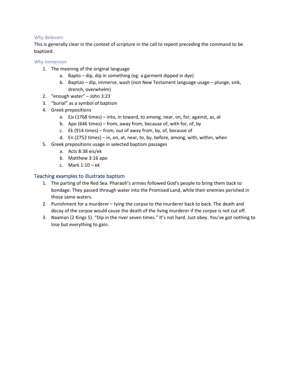## *Why Believers*

This is generally clear in the context of scripture in the call to repent preceding the command to be baptized.

## *Why Immersion*

- 1. The meaning of the original language
	- a. Bapto dip, dip in something (eg: a garment dipped in dye)
	- b. Baptizo dip, immerse, wash (non New Testament language usage plunge, sink, drench, overwhelm)
- 2. "enough water" John 3:23
- 3. "burial" as a symbol of baptism
- 4. Greek prepositions
	- a. Eis (1768 times) into, in toward, to among, near, on, for, against, as, at
	- b. Apo (646 times) from, away from, because of, with for, of, by
	- c. Ek (914 times) from, out of away from, by, of, because of
	- d. En (2752 times) in, on, at, near, to, by, before, among, with, within, when
- 5. Greek prepositions usage in selected baptism passages
	- a. Acts 8:38 eis/ek
	- b. Matthew 3:16 apo
	- c. Mark 1:10 ek

## Teaching examples to illustrate baptism

- 1. The parting of the Red Sea. Pharaoh's armies followed God's people to bring them back to bondage. They passed through water into the Promised Land, while their enemies perished in those same waters.
- 2. Punishment for a murderer tying the corpse to the murderer back to back. The death and decay of the corpse would cause the death of the living murderer if the corpse is not cut off.
- 3. Naaman (2 Kings 5). "Dip in the river seven times." It's not hard. Just obey. You've got nothing to lose but everything to gain.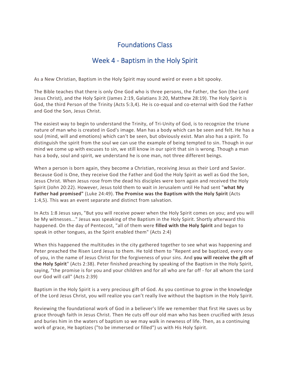# Week 4 - Baptism in the Holy Spirit

As a New Christian, Baptism in the Holy Spirit may sound weird or even a bit spooky.

The Bible teaches that there is only One God who is three persons, the Father, the Son (the Lord Jesus Christ), and the Holy Spirit (James 2:19, Galatians 3:20, Matthew 28:19). The Holy Spirit is God, the third Person of the Trinity (Acts 5:3,4). He is co-equal and co-eternal with God the Father and God the Son, Jesus Christ.

The easiest way to begin to understand the Trinity, of Tri-Unity of God, is to recognize the triune nature of man who is created in God's image. Man has a body which can be seen and felt. He has a soul (mind, will and emotions) which can't be seen, but obviously exist. Man also has a spirit. To distinguish the spirit from the soul we can use the example of being tempted to sin. Though in our mind we come up with excuses to sin, we still know in our spirit that sin is wrong. Though a man has a body, soul and spirit, we understand he is one man, not three different beings.

When a person is born again, they become a Christian, receiving Jesus as their Lord and Savior. Because God is One, they receive God the Father and God the Holy Spirit as well as God the Son, Jesus Christ. When Jesus rose from the dead his disciples were born again and received the Holy Spirit (John 20:22). However, Jesus told them to wait in Jerusalem until He had sent "**what My Father had promised"** (Luke 24:49). **The Promise was the Baptism with the Holy Spirit** (Acts 1:4,5). This was an event separate and distinct from salvation.

In Acts 1:8 Jesus says, "But you will receive power when the Holy Spirit comes on you; and you will be My witnesses..." Jesus was speaking of the Baptism in the Holy Spirit. Shortly afterward this happened. On the day of Pentecost, "all of them were **filled with the Holy Spirit** and began to speak in other tongues, as the Spirit enabled them" (Acts 2:4)

When this happened the multitudes in the city gathered together to see what was happening and Peter preached the Risen Lord Jesus to them. He told them to "Repent and be baptized, every one of you, in the name of Jesus Christ for the forgiveness of your sins. And **you will receive the gift of the Holy Spirit**" (Acts 2:38). Peter finished preaching by speaking of the Baptism in the Holy Spirit, saying, "the promise is for you and your children and for all who are far off - for all whom the Lord our God will call" (Acts 2:39)

Baptism in the Holy Spirit is a very precious gift of God. As you continue to grow in the knowledge of the Lord Jesus Christ, you will realize you can't really live without the baptism in the Holy Spirit.

Reviewing the foundational work of God in a believer's life we remember that first He saves us by grace through faith in Jesus Christ. Then He cuts off our old man who has been crucified with Jesus and buries him in the waters of baptism so we may walk in newness of life. Then, as a continuing work of grace, He baptizes ("to be immersed or filled") us with His Holy Spirit.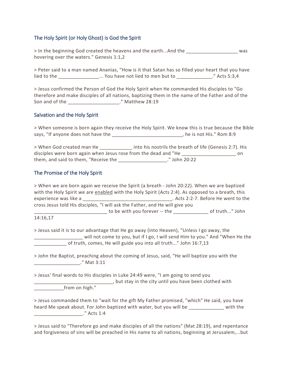## The Holy Spirit (or Holy Ghost) is God the Spirit

> In the beginning God created the heavens and the earth...And the **Land and the** was hovering over the waters." Genesis 1:1,2

> Peter said to a man named Ananias, "How is it that Satan has so filled your heart that you have lied to the \_\_\_\_\_\_\_\_\_\_\_\_\_\_\_\_... You have not lied to men but to \_\_\_\_\_\_\_\_\_\_\_\_\_\_." Acts 5:3,4

> Jesus confirmed the Person of God the Holy Spirit when He commanded His disciples to "Go therefore and make disciples of all nations, baptizing them in the name of the Father and of the Son and of the \_\_\_\_\_\_\_\_\_\_\_\_\_\_\_\_\_\_\_." Matthew 28:19

## Salvation and the Holy Spirit

> When someone is born again they receive the Holy Spirit. We know this is true because the Bible says, "If anyone does not have the \_\_\_\_\_\_\_\_\_\_\_\_\_\_\_\_\_\_\_\_\_\_\_\_\_\_\_\_, he is not His." Rom 8:9

| > When God created man He                                       | into his nostrils the breath of life (Genesis 2:7). His |    |
|-----------------------------------------------------------------|---------------------------------------------------------|----|
| disciples were born again when Jesus rose from the dead and "He |                                                         | on |
| them, and said to them, "Receive the                            | ." John 20:22                                           |    |

## The Promise of the Holy Spirit

| > When we are born again we receive the Spirit (a breath - John 20:22). When we are baptized                                                                 |                                                                                |
|--------------------------------------------------------------------------------------------------------------------------------------------------------------|--------------------------------------------------------------------------------|
| with the Holy Spirit we are enabled with the Holy Spirit (Acts 2:4). As opposed to a breath, this                                                            |                                                                                |
| experience was like a                                                                                                                                        | _____________________________. Acts 2:2-7. Before He went to the               |
| cross Jesus told His disciples, "I will ask the Father, and He will give you                                                                                 |                                                                                |
|                                                                                                                                                              | to be with you forever -- the beautiful contract to be with you forever -- the |
| 14:16,17                                                                                                                                                     |                                                                                |
| > Jesus said it is to our advantage that He go away (into Heaven), "Unless I go away, the<br>of truth, comes, He will guide you into all truth" John 16:7,13 | will not come to you, but if I go, I will send Him to you." And "When He the   |
| > John the Baptist, preaching about the coming of Jesus, said, "He will baptize you with the                                                                 |                                                                                |
| ." Mat 3:11                                                                                                                                                  |                                                                                |
| > Jesus' final words to His disciples in Luke 24:49 were, "I am going to send you                                                                            |                                                                                |

**\_\_\_\_\_**, but stay in the city until you have been clothed with \_\_\_\_\_\_\_\_\_\_\_from on high."

> Jesus commanded them to "wait for the gift My Father promised, "which" He said, you have heard Me speak about. For John baptized with water, but you will be \_\_\_\_\_\_\_\_\_\_\_\_\_ with the \_\_\_\_\_\_\_\_\_\_\_\_\_\_\_\_\_\_." Acts 1:4

> Jesus said to "Therefore go and make disciples of all the nations" (Mat 28:19), and repentance and forgiveness of sins will be preached in His name to all nations, beginning at Jerusalem,...but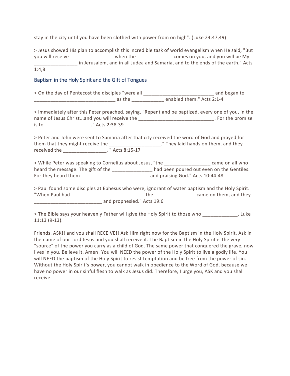stay in the city until you have been clothed with power from on high". (Luke 24:47,49)

> Jesus showed His plan to accomplish this incredible task of world evangelism when He said, "But you will receive \_\_\_\_\_\_\_\_\_\_\_\_\_\_\_\_\_ when the \_\_\_\_\_\_\_\_\_\_\_\_\_\_ comes on you, and you will be My in Jerusalem, and in all Judea and Samaria, and to the ends of the earth." Acts 1:4,8

## Baptism in the Holy Spirit and the Gift of Tongues

| > On the day of Pentecost the disciples "were all ______________________________ and began to                                                                                                                                                     |  |
|---------------------------------------------------------------------------------------------------------------------------------------------------------------------------------------------------------------------------------------------------|--|
|                                                                                                                                                                                                                                                   |  |
| > Immediately after this Peter preached, saying, "Repent and be baptized, every one of you, in the<br>name of Jesus Christand you will receive the _______________________________. For the promise<br>is to _____________________." Acts 2:38-39 |  |
| > Peter and John were sent to Samaria after that city received the word of God and prayed for<br>them that they might receive the _______________________." They laid hands on them, and they<br>received the __________________. " Acts 8:15-17  |  |
| > While Peter was speaking to Cornelius about Jesus, "the ___________________ came on all who                                                                                                                                                     |  |
| heard the message. The gift of the ______________ had been poured out even on the Gentiles.                                                                                                                                                       |  |
|                                                                                                                                                                                                                                                   |  |
| > Paul found some disciples at Ephesus who were, ignorant of water baptism and the Holy Spirit.                                                                                                                                                   |  |
|                                                                                                                                                                                                                                                   |  |

and prophesied." Acts 19:6

> The Bible says your heavenly Father will give the Holy Spirit to those who \_\_\_\_\_\_\_\_\_\_\_\_\_. Luke 11:13 (9-13).

Friends, ASK!! and you shall RECEIVE!! Ask Him right now for the Baptism in the Holy Spirit. Ask in the name of our Lord Jesus and you shall receive it. The Baptism in the Holy Spirit is the very "source" of the power you carry as a child of God. The same power that conquered the grave, now lives in you. Believe it. Amen! You will NEED the power of the Holy Spirit to live a godly life. You will NEED the baptism of the Holy Spirit to resist temptation and be free from the power of sin. Without the Holy Spirit's power, you cannot walk in obedience to the Word of God, because we have no power in our sinful flesh to walk as Jesus did. Therefore, I urge you, ASK and you shall receive.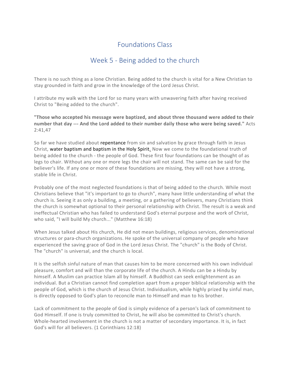# Week 5 - Being added to the church

There is no such thing as a lone Christian. Being added to the church is vital for a New Christian to stay grounded in faith and grow in the knowledge of the Lord Jesus Christ.

I attribute my walk with the Lord for so many years with unwavering faith after having received Christ to "Being added to the church".

**"Those who accepted his message were baptized, and about three thousand were added to their number that day --- And the Lord added to their number daily those who were being saved."** Acts 2:41,47

So far we have studied about repentance from sin and salvation by grace through faith in Jesus Christ, water baptism and baptism in the Holy Spirit. Now we come to the foundational truth of being added to the church - the people of God. These first four foundations can be thought of as legs to chair. Without any one or more legs the chair will not stand. The same can be said for the believer's life. If any one or more of these foundations are missing, they will not have a strong, stable life in Christ.

Probably one of the most neglected foundations is that of being added to the church. While most Christians believe that "it's important to go to church", many have little understanding of what the church is. Seeing it as only a building, a meeting, or a gathering of believers, many Christians think the church is somewhat optional to their personal relationship with Christ. The result is a weak and ineffectual Christian who has failed to understand God's eternal purpose and the work of Christ, who said, "I will build My church..." (Matthew 16:18)

When Jesus talked about His church, He did not mean buildings, religious services, denominational structures or para-church organizations. He spoke of the universal company of people who have experienced the saving grace of God in the Lord Jesus Christ. The "church" is the Body of Christ. The "church" is universal, and the church is local.

It is the selfish sinful nature of man that causes him to be more concerned with his own individual pleasure, comfort and will than the corporate life of the church. A Hindu can be a Hindu by himself. A Muslim can practice Islam all by himself. A Buddhist can seek enlightenment as an individual. But a Christian cannot find completion apart from a proper biblical relationship with the people of God, which is the church of Jesus Christ. Individualism, while highly prized by sinful man, is directly opposed to God's plan to reconcile man to Himself and man to his brother.

Lack of commitment to the people of God is simply evidence of a person's lack of commitment to God Himself. If one is truly committed to Christ, he will also be committed to Christ's church. Whole-hearted involvement in the church is not a matter of secondary importance. It is, in fact God's will for all believers. (1 Corinthians 12:18)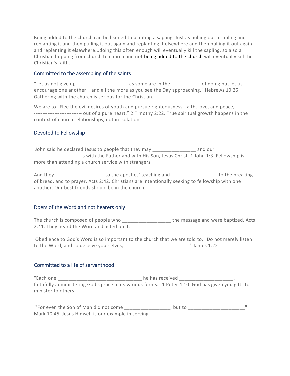Being added to the church can be likened to planting a sapling. Just as pulling out a sapling and replanting it and then pulling it out again and replanting it elsewhere and then pulling it out again and replanting it elsewhere...doing this often enough will eventually kill the sapling, so also a Christian hopping from church to church and not being added to the church will eventually kill the Christian's faith.

## Committed to the assembling of the saints

"Let us not give up -----------------------------, as some are in the ----------------- of doing but let us encourage one another – and all the more as you see the Day approaching." Hebrews 10:25. Gathering with the church is serious for the Christian.

We are to "Flee the evil desires of youth and pursue righteousness, faith, love, and peace, --------------------------------------- out of a pure heart." 2 Timothy 2:22. True spiritual growth happens in the context of church relationships, not in isolation.

## Devoted to Fellowship

John said he declared Jesus to people that they may \_\_\_\_\_\_\_\_\_\_\_\_\_\_\_\_\_\_\_\_\_\_\_\_\_\_\_\_\_ and our is with the Father and with His Son, Jesus Christ. 1 John 1:3. Fellowship is more than attending a church service with strangers.

And they \_\_\_\_\_\_\_\_\_\_\_\_\_\_\_\_\_\_\_\_\_\_\_\_ to the apostles' teaching and \_\_\_\_\_\_\_\_\_\_\_\_\_\_\_\_\_\_\_\_\_\_\_\_ to the breaking of bread, and to prayer. Acts 2:42. Christians are intentionally seeking to fellowship with one another. Our best friends should be in the church.

## Doers of the Word and not hearers only

The church is composed of people who \_\_\_\_\_\_\_\_\_\_\_\_\_\_\_\_\_\_\_\_\_\_ the message and were baptized. Acts 2:41. They heard the Word and acted on it.

Obedience to God's Word is so important to the church that we are told to, "Do not merely listen to the Word, and so deceive yourselves, \_\_\_\_\_\_\_\_\_\_\_\_\_\_\_\_\_\_\_\_\_\_\_\_" James 1:22

# Committed to a life of servanthood

"Each one \_\_\_\_\_\_\_\_\_\_\_\_\_\_\_\_\_\_\_\_\_\_\_\_\_\_\_\_\_\_ he has received \_\_\_\_\_\_\_\_\_\_\_\_\_\_\_\_\_\_\_\_\_\_\_ faithfully administering God's grace in its various forms." 1 Peter 4:10. God has given you gifts to minister to others.

"For even the Son of Man did not come \_\_\_\_\_\_\_\_\_\_\_\_\_\_\_\_\_, but to \_\_\_\_\_\_\_\_\_\_\_\_\_\_\_\_\_\_\_\_\_\_\_" Mark 10:45. Jesus Himself is our example in serving.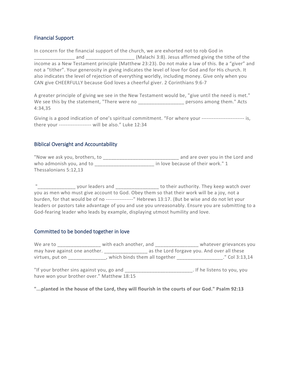## Financial Support

In concern for the financial support of the church, we are exhorted not to rob God in \_\_\_\_\_\_\_\_\_\_\_\_\_\_\_ and \_\_\_\_\_\_\_\_\_\_\_\_\_\_\_\_\_\_ (Malachi 3:8). Jesus affirmed giving the tithe of the income as a New Testament principle (Matthew 23:23). Do not make a law of this. Be a "giver" and not a "tither". Your generosity in giving indicates the level of love for God and for His church. It also indicates the level of rejection of everything worldly, including money. Give only when you CAN give CHEERFULLY because God loves a cheerful giver. 2 Corinthians 9:6-7

A greater principle of giving we see in the New Testament would be, "give until the need is met." We see this by the statement, "There were no \_\_\_\_\_\_\_\_\_\_\_\_\_\_\_\_\_\_\_\_ persons among them." Acts 4:34,35

Giving is a good indication of one's spiritual commitment. "For where your ---------------------------- is, there your ------------------- will be also." Luke 12:34

## Biblical Oversight and Accountability

"Now we ask you, brothers, to \_\_\_\_\_\_\_\_\_\_\_\_\_\_\_\_\_\_\_\_\_\_\_\_\_\_\_\_ and are over you in the Lord and who admonish you, and to \_\_\_\_\_\_\_\_\_\_\_\_\_\_\_\_\_\_\_\_\_\_\_\_\_\_\_\_\_\_\_ in love because of their work." 1 Thessalonians 5:12,13

"\_\_\_\_\_\_\_\_\_\_\_\_\_\_ your leaders and \_\_\_\_\_\_\_\_\_\_\_\_\_\_\_\_ to their authority. They keep watch over you as men who must give account to God. Obey them so that their work will be a joy, not a burden, for that would be of no ----------------" Hebrews 13:17. (But be wise and do not let your leaders or pastors take advantage of you and use you unreasonably. Ensure you are submitting to a God-fearing leader who leads by example, displaying utmost humility and love.

## Committed to be bonded together in love

We are to \_\_\_\_\_\_\_\_\_\_\_\_\_\_\_\_\_\_ with each another, and \_\_\_\_\_\_\_\_\_\_\_\_\_\_\_\_\_\_\_\_\_ whatever grievances you may have against one another. \_\_\_\_\_\_\_\_\_\_\_\_\_\_\_\_ as the Lord forgave you. And over all these virtues, put on \_\_\_\_\_\_\_\_\_\_\_\_\_\_, which binds them all together \_\_\_\_\_\_\_\_\_\_\_\_\_\_\_\_\_\_." Col 3:13,14

"If your brother sins against you, go and \_\_\_\_\_\_\_\_\_\_\_\_\_\_\_\_\_\_\_\_\_\_\_\_\_\_\_\_\_\_. If he listens to you, you have won your brother over." Matthew 18:15

**"...planted in the house of the Lord, they will flourish in the courts of our God." Psalm 92:13**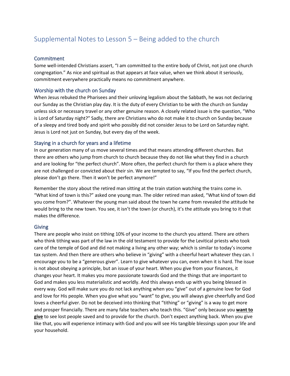# Supplemental Notes to Lesson 5 – Being added to the church

## Commitment

Some well-intended Christians assert, "I am committed to the entire body of Christ, not just one church congregation." As nice and spiritual as that appears at face value, when we think about it seriously, commitment everywhere practically means no commitment anywhere.

## Worship with the church on Sunday

When Jesus rebuked the Pharisees and their unloving legalism about the Sabbath, he was not declaring our Sunday as the Christian play day. It is the duty of every Christian to be with the church on Sunday unless sick or necessary travel or any other genuine reason. A closely related issue is the question, "Who is Lord of Saturday night?" Sadly, there are Christians who do not make it to church on Sunday because of a sleepy and tired body and spirit who possibly did not consider Jesus to be Lord on Saturday night. Jesus is Lord not just on Sunday, but every day of the week.

## Staying in a church for years and a lifetime

In our generation many of us move several times and that means attending different churches. But there are others who jump from church to church because they do not like what they find in a church and are looking for "the perfect church". More often, the perfect church for them is a place where they are not challenged or convicted about their sin. We are tempted to say, "If you find the perfect church, please don't go there. Then it won't be perfect anymore!"

Remember the story about the retired man sitting at the train station watching the trains come in. "What kind of town is this?" asked one young man. The older retired man asked, "What kind of town did you come from?". Whatever the young man said about the town he came from revealed the attitude he would bring to the new town. You see, it isn't the town (or church), it's the attitude you bring to it that makes the difference.

## Giving

There are people who insist on tithing 10% of your income to the church you attend. There are others who think tithing was part of the law in the old testament to provide for the Levitical priests who took care of the temple of God and did not making a living any other way; which is similar to today's income tax system. And then there are others who believe in "giving" with a cheerful heart whatever they can. I encourage you to be a "generous giver". Learn to give whatever you can, even when it is hard. The issue is not about obeying a principle, but an issue of your heart. When you give from your finances, it changes your heart. It makes you more passionate towards God and the things that are important to God and makes you less materialistic and worldly. And this always ends up with you being blessed in every way. God will make sure you do not lack anything when you "give" out of a genuine love for God and love for His people. When you give what you "want" to give, you will always give cheerfully and God loves a cheerful giver. Do not be deceived into thinking that "tithing" or "giving" is a way to get more and prosper financially. There are many false teachers who teach this. "Give" only because you **want to give** to see lost people saved and to provide for the church. Don't expect anything back. When you give like that, you will experience intimacy with God and you will see His tangible blessings upon your life and your household.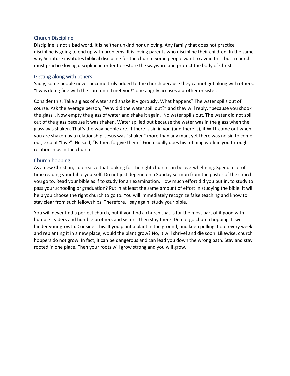## Church Discipline

Discipline is not a bad word. It is neither unkind nor unloving. Any family that does not practice discipline is going to end up with problems. It is loving parents who discipline their children. In the same way Scripture institutes biblical discipline for the church. Some people want to avoid this, but a church must practice loving discipline in order to restore the wayward and protect the body of Christ.

## Getting along with others

Sadly, some people never become truly added to the church because they cannot get along with others. "I was doing fine with the Lord until I met you!" one angrily accuses a brother or sister.

Consider this. Take a glass of water and shake it vigorously. What happens? The water spills out of course. Ask the average person, "Why did the water spill out?" and they will reply, "because you shook the glass". Now empty the glass of water and shake it again. No water spills out. The water did not spill out of the glass because it was shaken. Water spilled out because the water was in the glass when the glass was shaken. That's the way people are. If there is sin in you (and there is), it WILL come out when you are shaken by a relationship. Jesus was "shaken" more than any man, yet there was no sin to come out, except "love". He said, "Father, forgive them." God usually does his refining work in you through relationships in the church.

## Church hopping

As a new Christian, I do realize that looking for the right church can be overwhelming. Spend a lot of time reading your bible yourself. Do not just depend on a Sunday sermon from the pastor of the church you go to. Read your bible as if to study for an examination. How much effort did you put in, to study to pass your schooling or graduation? Put in at least the same amount of effort in studying the bible. It will help you choose the right church to go to. You will immediately recognize false teaching and know to stay clear from such fellowships. Therefore, I say again, study your bible.

You will never find a perfect church, but if you find a church that is for the most part of it good with humble leaders and humble brothers and sisters, then stay there. Do not go church hopping. It will hinder your growth. Consider this. If you plant a plant in the ground, and keep pulling it out every week and replanting it in a new place, would the plant grow? No, it will shrivel and die soon. Likewise, church hoppers do not grow. In fact, it can be dangerous and can lead you down the wrong path. Stay and stay rooted in one place. Then your roots will grow strong and you will grow.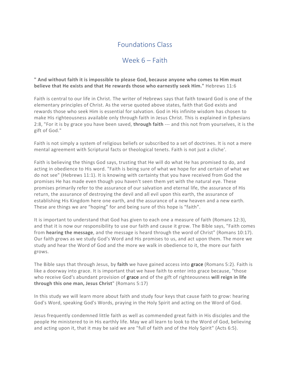# Week 6 – Faith

## **" And without faith it is impossible to please God, because anyone who comes to Him must believe that He exists and that He rewards those who earnestly seek Him."** Hebrews 11:6

Faith is central to our life in Christ. The writer of Hebrews says that faith toward God is one of the elementary principles of Christ. As the verse quoted above states, faith that God exists and rewards those who seek Him is essential for salvation. God in His infinite wisdom has chosen to make His righteousness available only through faith in Jesus Christ. This is explained in Ephesians 2:8, "For it is by grace you have been saved, **through faith** --- and this not from yourselves, it is the gift of God."

Faith is not simply a system of religious beliefs or subscribed to a set of doctrines. It is not a mere mental agreement with Scriptural facts or theological tenets. Faith is not just a cliche'.

Faith is believing the things God says, trusting that He will do what He has promised to do, and acting in obedience to His word. "Faith is being sure of what we hope for and certain of what we do not see" (Hebrews 11:1). It is knowing with certainty that you have received from God the promises He has made even though you haven't seen them yet with the natural eye. These promises primarily refer to the assurance of our salvation and eternal life, the assurance of His return, the assurance of destroying the devil and all evil upon this earth, the assurance of establishing His Kingdom here one earth, and the assurance of a new heaven and a new earth. These are things we are "hoping" for and being sure of this hope is "faith".

It is important to understand that God has given to each one a measure of faith (Romans 12:3), and that it is now our responsibility to use our faith and cause it grow. The Bible says, "Faith comes from **hearing the message**, and the message is heard through the word of Christ" (Romans 10:17). Our faith grows as we study God's Word and His promises to us, and act upon them. The more we study and hear the Word of God and the more we walk in obedience to it, the more our faith grows.

The Bible says that through Jesus, by **faith** we have gained access into grace (Romans 5:2). Faith is like a doorway into grace. It is important that we have faith to enter into grace because, "those who receive God's abundant provision of grace and of the gift of righteousness **will reign in life through this one man, Jesus Christ**" (Romans 5:17)

In this study we will learn more about faith and study four keys that cause faith to grow: hearing God's Word, speaking God's Words, praying in the Holy Spirit and acting on the Word of God.

Jesus frequently condemned little faith as well as commended great faith in His disciples and the people He ministered to in His earthly life. May we all learn to look to the Word of God, believing and acting upon it, that it may be said we are "full of faith and of the Holy Spirit" (Acts 6:5).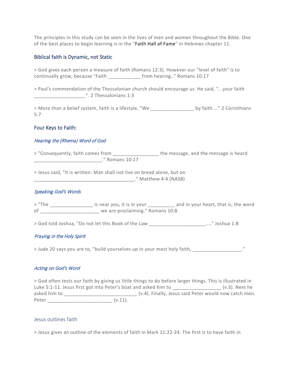The principles in this study can be seen in the lives of men and women throughout the Bible. One of the best places to begin learning is in the "Faith Hall of Fame" in Hebrews chapter 11.

## Biblical faith is Dynamic, not Static

> God gives each person a measure of faith (Romans 12:3). However our "level of faith" is to continually grow, because "Faith \_\_\_\_\_\_\_\_\_\_\_\_ from hearing.." Romans 10:17

> Paul's commendation of the Thessalonian church should encourage us. He said, "...your faith \_\_\_\_\_\_\_\_\_\_\_\_\_\_\_\_\_\_\_". 2 Thessalonians 1:3

> More than a belief system, faith is a lifestyle, "We \_\_\_\_\_\_\_\_\_\_\_\_\_\_\_\_\_\_\_\_\_\_\_\_\_ by faith ..." 2 Corinthians 5:7

## Four Keys to Faith:

## Hearing the (Rhema) Word of God

> "Consequently, faith comes from \_\_\_\_\_\_\_\_\_\_\_\_\_\_\_\_\_\_\_\_\_ the message, and the message is heard \_\_\_\_\_\_\_\_\_\_\_\_\_\_\_\_\_\_\_\_\_\_\_\_\_." Romans 10:17

> Jesus said, "It is written: Man shall not live on bread alone, but on \_\_\_\_\_\_\_\_\_\_\_\_\_\_\_\_\_\_\_\_\_\_\_\_\_\_\_\_\_\_\_\_\_\_\_\_\_." Matthew 4:4 (NASB)

#### Speaking God's Words

> "The \_\_\_\_\_\_\_\_\_\_\_\_\_\_\_\_\_\_\_\_ is near you, it is in your \_\_\_\_\_\_\_\_\_\_\_\_ and in your heart, that is, the word of \_\_\_\_\_\_\_\_\_\_\_\_\_\_\_\_\_\_\_\_\_\_ we are proclaiming." Romans 10:8

> God told Joshua, "Do not let this Book of the Law \_\_\_\_\_\_\_\_\_\_\_\_\_\_\_\_\_\_\_\_\_...." Joshua 1:8

## Praying in the Holy Spirit

> Jude 20 says you are to, "build yourselves up in your most holy faith, \_\_\_\_\_\_\_\_\_\_\_\_\_\_\_\_\_\_."

## Acting on God's Word

> God often tests our faith by giving us little things to do before larger things. This is illustrated in Luke 5:1-11. Jesus first got into Peter's boat and asked him to  $(v.3)$ . Next he asked him to  $(v.4)$ . Finally, Jesus said Peter would now catch men. Peter (v.11).

#### Jesus outlines faith

> Jesus gives an outline of the elements of faith in Mark 11:22-24. The first is to have faith in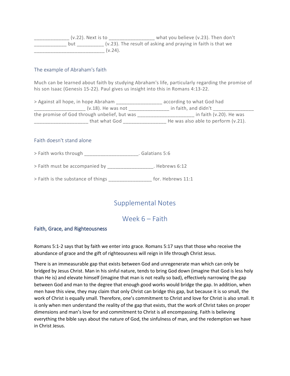\_\_\_\_\_\_\_\_\_\_\_\_\_ (v.22). Next is to \_\_\_\_\_\_\_\_\_\_\_\_\_\_\_\_\_ what you believe (v.23). Then don't  $\frac{1}{2}$  but  $\frac{1}{2}$  and  $\frac{1}{2}$  (v.23). The result of asking and praying in faith is that we  $(v.24)$ .

## The example of Abraham's faith

Much can be learned about faith by studying Abraham's life, particularly regarding the promise of his son Isaac (Genesis 15-22). Paul gives us insight into this in Romans 4:13-22.

| > Against all hope, in hope Abraham          | according to what God had           |
|----------------------------------------------|-------------------------------------|
| $(v.18)$ . He was not                        | in faith, and didn't                |
| the promise of God through unbelief, but was | in faith (v.20). He was             |
| that what God                                | He was also able to perform (v.21). |

## Faith doesn't stand alone

> Faith works through \_\_\_\_\_\_\_\_\_\_\_\_\_\_\_\_\_\_\_\_. Galatians 5:6

> Faith must be accompanied by \_\_\_\_\_\_\_\_\_\_\_\_\_\_\_\_\_. Hebrews 6:12

> Faith is the substance of things \_\_\_\_\_\_\_\_\_\_\_\_\_\_\_\_ for. Hebrews 11:1

# Supplemental Notes

# Week 6 – Faith

## Faith, Grace, and Righteousness

Romans 5:1-2 says that by faith we enter into grace. Romans 5:17 says that those who receive the abundance of grace and the gift of righteousness will reign in life through Christ Jesus.

There is an immeasurable gap that exists between God and unregenerate man which can only be bridged by Jesus Christ. Man in his sinful nature, tends to bring God down (imagine that God is less holy than He is) and elevate himself (imagine that man is not really so bad), effectively narrowing the gap between God and man to the degree that enough good works would bridge the gap. In addition, when men have this view, they may claim that only Christ can bridge this gap, but because it is so small, the work of Christ is equally small. Therefore, one's commitment to Christ and love for Christ is also small. It is only when men understand the reality of the gap that exists, that the work of Christ takes on proper dimensions and man's love for and commitment to Christ is all encompassing. Faith is believing everything the bible says about the nature of God, the sinfulness of man, and the redemption we have in Christ Jesus.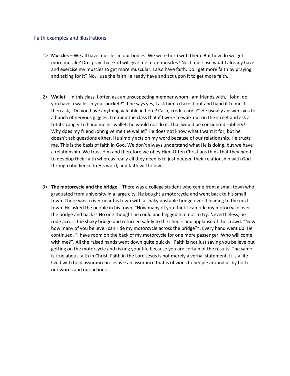## Faith examples and illustrations

- 1> **Muscles** We all have muscles in our bodies. We were born with them. But how do we get more muscle? Do I pray that God will give me more muscles? No, I must use what I already have and exercise my muscles to get more muscular. I also have faith. Do I get more faith by praying and asking for it? No, I use the faith I already have and act upon it to get more faith.
- 2> **Wallet** In this class, I often ask an unsuspecting member whom I am friends with, "John, do you have a wallet in your pocket?" If he says yes, I ask him to take it out and hand it to me. I then ask, "Do you have anything valuable in here? Cash, credit cards?" He usually answers yes to a bunch of nervous giggles. I remind the class that if I were to walk out on the street and ask a total stranger to hand me his wallet, he would not do it. That would be considered robbery! Why does my friend John give me the wallet? He does not know what I want it for, but he doesn't ask questions either. He simply acts on my word because of our relationship. He trusts me. This is the basis of faith in God. We don't always understand what He is doing, but we have a relationship. We trust Him and therefore we obey Him. Often Christians think that they need to develop their faith whereas really all they need is to just deepen their relationship with God through obedience to His word, and faith will follow.
- 3> **The motorcycle and the bridge** There was a college student who came from a small town who graduated from university in a large city. He bought a motorcycle and went back to his small town. There was a river near his town with a shaky unstable bridge over it leading to the next town. He asked the people in his town, "How many of you think I can ride my motorcycle over the bridge and back?" No one thought he could and begged him not to try. Nevertheless, he rode across the shaky bridge and returned safely to the cheers and applause of the crowd. "Now how many of you believe I can ride my motorcycle across the bridge?". Every hand went up. He continued, "I have room on the back of my motorcycle for one more passenger. Who will come with me?". All the raised hands went down quite quickly. Faith is not just saying you believe but getting on the motorcycle and risking your life because you are certain of the results. The same is true about faith in Christ. Faith in the Lord Jesus is not merely a verbal statement. It is a life lived with bold assurance in Jesus – an assurance that is obvious to people around us by both our words and our actions.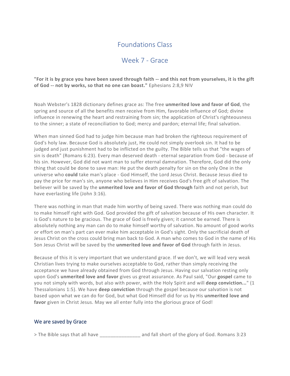# Week 7 - Grace

## **"For it is by grace you have been saved through faith -- and this not from yourselves, it is the gift of God -- not by works, so that no one can boast."** Ephesians 2:8,9 NIV

Noah Webster's 1828 dictionary defines grace as: The free **unmerited love and favor of God**, the spring and source of all the benefits men receive from Him, favorable influence of God; divine influence in renewing the heart and restraining from sin; the application of Christ's righteousness to the sinner; a state of reconciliation to God; mercy and pardon; eternal life; final salvation.

When man sinned God had to judge him because man had broken the righteous requirement of God's holy law. Because God is absolutely just, He could not simply overlook sin. It had to be judged and just punishment had to be inflicted on the guilty. The Bible tells us that "the wages of sin is death" (Romans 6:23). Every man deserved death - eternal separation from God - because of his sin. However, God did not want man to suffer eternal damnation. Therefore, God did the only thing that could be done to save man: He put the death penalty for sin on the only One in the universe who **could** take man's place - God Himself, the Lord Jesus Christ. Because Jesus died to pay the price for man's sin, anyone who believes in Him receives God's free gift of salvation. The believer will be saved by the **unmerited love and favor of God through** faith and not perish, but have everlasting life (John 3:16).

There was nothing in man that made him worthy of being saved. There was nothing man could do to make himself right with God. God provided the gift of salvation because of His own character. It is God's nature to be gracious. The grace of God is freely given; it cannot be earned. There is absolutely nothing any man can do to make himself worthy of salvation. No amount of good works or effort on man's part can ever make him acceptable in God's sight. Only the sacrificial death of Jesus Christ on the cross could bring man back to God. A man who comes to God in the name of His Son Jesus Christ will be saved by the **unmerited love and favor of God** through faith in Jesus.

Because of this it is very important that we understand grace. If we don't, we will lead very weak Christian lives trying to make ourselves acceptable to God, rather than simply receiving the acceptance we have already obtained from God through Jesus. Having our salvation resting only upon God's **unmerited love and favor** gives us great assurance. As Paul said, "Our **gospel** came to you not simply with words, but also with power, with the Holy Spirit and will **deep conviction...**" (1 Thessalonians 1:5). We have **deep conviction** through the gospel because our salvation is not based upon what we can do for God, but what God Himself did for us by His **unmerited love and favor** given in Christ Jesus. May we all enter fully into the glorious grace of God!

## We are saved by Grace

> The Bible says that all have and fall short of the glory of God. Romans 3:23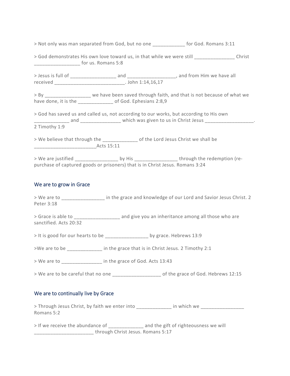| > Not only was man separated from God, but no one |  | for God. Romans 3:11 |
|---------------------------------------------------|--|----------------------|
|                                                   |  |                      |

| > God demonstrates His own love toward us, in that while we were still | Christ |
|------------------------------------------------------------------------|--------|
| for us. Romans 5:8                                                     |        |

> Jesus is full of \_\_\_\_\_\_\_\_\_\_\_\_\_\_\_\_\_ and \_\_\_\_\_\_\_\_\_\_\_\_\_\_\_\_\_\_, and from Him we have all received \_\_\_\_\_\_\_\_\_\_\_\_\_\_\_\_\_\_\_\_\_\_\_\_\_\_. John 1:14,16,17

> By \_\_\_\_\_\_\_\_\_\_\_\_\_\_\_\_\_ we have been saved through faith, and that is not because of what we have done, it is the \_\_\_\_\_\_\_\_\_\_\_\_\_ of God. Ephesians 2:8,9

> God has saved us and called us, not according to our works, but according to His own \_\_\_\_\_\_\_\_\_\_ and \_\_\_\_\_\_\_\_\_\_\_\_\_\_\_\_\_\_\_\_ which was given to us in Christ Jesus \_\_\_\_\_\_\_\_\_\_\_\_\_\_\_\_\_\_\_\_\_\_\_\_\_ 2 Timothy 1:9

> We believe that through the \_\_\_\_\_\_\_\_\_\_\_\_\_ of the Lord Jesus Christ we shall be \_\_\_\_\_\_\_\_\_\_\_\_\_\_\_\_\_\_\_\_\_\_\_Acts 15:11

> We are justified \_\_\_\_\_\_\_\_\_\_\_\_\_\_\_\_\_\_\_ by His \_\_\_\_\_\_\_\_\_\_\_\_\_\_\_\_\_\_through the redemption (repurchase of captured goods or prisoners) that is in Christ Jesus. Romans 3:24

## We are to grow in Grace

> We are to \_\_\_\_\_\_\_\_\_\_\_\_\_\_\_\_\_ in the grace and knowledge of our Lord and Savior Jesus Christ. 2 Peter 3:18

> Grace is able to \_\_\_\_\_\_\_\_\_\_\_\_\_\_\_\_\_\_ and give you an inheritance among all those who are sanctified. Acts 20:32

> It is good for our hearts to be \_\_\_\_\_\_\_\_\_\_\_\_\_\_\_\_ by grace. Hebrews 13:9

>We are to be  $\qquad \qquad$  in the grace that is in Christ Jesus. 2 Timothy 2:1

> We are to \_\_\_\_\_\_\_\_\_\_\_\_\_\_\_ in the grace of God. Acts 13:43

> We are to be careful that no one details not the grace of God. Hebrews 12:15

## We are to continually live by Grace

> Through Jesus Christ, by faith we enter into \_\_\_\_\_\_\_\_\_\_\_\_\_\_ in which we Romans 5:2

> If we receive the abundance of \_\_\_\_\_\_\_\_\_\_\_\_\_ and the gift of righteousness we will \_\_\_\_\_\_\_\_\_\_\_\_\_\_\_\_\_\_\_\_\_\_ through Christ Jesus. Romans 5:17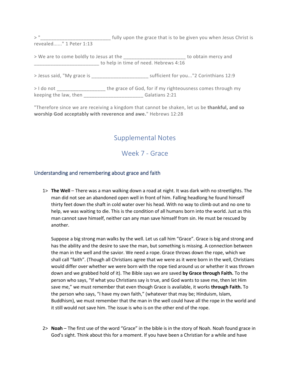>" \_\_\_\_\_\_\_\_\_\_\_\_\_\_\_\_\_\_\_\_\_\_\_\_\_\_\_\_ fully upon the grace that is to be given you when Jesus Christ is revealed......" 1 Peter 1:13

> We are to come boldly to Jesus at the \_\_\_\_\_\_\_\_\_\_\_\_\_\_\_\_\_\_\_\_\_\_\_ to obtain mercy and to help in time of need. Hebrews 4:16

> Jesus said, "My grace is \_\_\_\_\_\_\_\_\_\_\_\_\_\_\_\_\_\_\_\_\_ sufficient for you..."2 Corinthians 12:9

> I do not \_\_\_\_\_\_\_\_\_\_\_\_\_\_\_\_\_\_\_\_\_ the grace of God, for if my righteousness comes through my keeping the law, then \_\_\_\_\_\_\_\_\_\_\_\_\_\_\_\_\_\_\_\_\_\_ Galatians 2:21

"Therefore since we are receiving a kingdom that cannot be shaken, let us be **thankful, and so worship God acceptably with reverence and awe.**" Hebrews 12:28

# Supplemental Notes

Week 7 - Grace

## Understanding and remembering about grace and faith

1> **The Well** – There was a man walking down a road at night. It was dark with no streetlights. The man did not see an abandoned open well in front of him. Falling headlong he found himself thirty feet down the shaft in cold water over his head. With no way to climb out and no one to help, we was waiting to die. This is the condition of all humans born into the world. Just as this man cannot save himself, neither can any man save himself from sin. He must be rescued by another.

Suppose a big strong man walks by the well. Let us call him "Grace". Grace is big and strong and has the ability and the desire to save the man, but something is missing. A connection between the man in the well and the savior. We need a rope. Grace throws down the rope, which we shall call "faith". (Though all Christians agree that we were as it were born in the well, Christians would differ over whether we were born with the rope tied around us or whether it was thrown down and we grabbed hold of it). The Bible says we are saved **by Grace through Faith.** To the person who says, "If what you Christians say is true, and God wants to save me, then let Him save me," we must remember that even though Grace is available, it works **through Faith.** To the person who says, "I have my own faith," (whatever that may be; Hinduism, Islam, Buddhism), we must remember that the man in the well could have all the rope in the world and it still would not save him. The issue is who is on the other end of the rope.

2> **Noah** – The first use of the word "Grace" in the bible is in the story of Noah. Noah found grace in God's sight. Think about this for a moment. If you have been a Christian for a while and have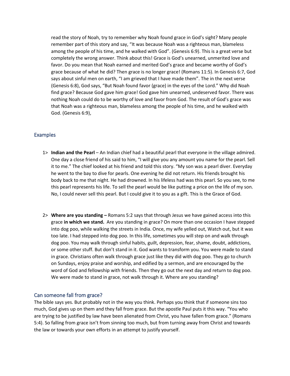read the story of Noah, try to remember why Noah found grace in God's sight? Many people remember part of this story and say, "It was because Noah was a righteous man, blameless among the people of his time, and he walked with God". (Genesis 6:9). This is a great verse but completely the wrong answer. Think about this! Grace is God's unearned, unmerited love and favor. Do you mean that Noah earned and merited God's grace and became worthy of God's grace because of what he did? Then grace is no longer grace! (Romans 11:5). In Genesis 6:7, God says about sinful men on earth, "I am grieved that I have made them". The in the next verse (Genesis 6:8), God says, "But Noah found favor (grace) in the eyes of the Lord." Why did Noah find grace? Because God gave him grace! God gave him unearned, undeserved favor. There was nothing Noah could do to be worthy of love and favor from God. The result of God's grace was that Noah was a righteous man, blameless among the people of his time, and he walked with God. (Genesis 6:9),

## Examples

- 1> **Indian and the Pearl** An Indian chief had a beautiful pearl that everyone in the village admired. One day a close friend of his said to him, "I will give you any amount you name for the pearl. Sell it to me." The chief looked at his friend and told this story. "My son was a pearl diver. Everyday he went to the bay to dive for pearls. One evening he did not return. His friends brought his body back to me that night. He had drowned. In his lifeless had was this pearl. So you see, to me this pearl represents his life. To sell the pearl would be like putting a price on the life of my son. No, I could never sell this pearl. But I could give it to you as a gift. This is the Grace of God.
- 2> **Where are you standing –** Romans 5:2 says that through Jesus we have gained access into this grace **in which we stand.** Are you standing in grace? On more than one occasion I have stepped into dog poo, while walking the streets in India. Once, my wife yelled out, Watch out, but it was too late. I had stepped into dog poo. In this life, sometimes you will step on and walk through dog poo. You may walk through sinful habits, guilt, depression, fear, shame, doubt, addictions, or some other stuff. But don't stand in it. God wants to transform you. You were made to stand in grace. Christians often walk through grace just like they did with dog poo. They go to church on Sundays, enjoy praise and worship, and edified by a sermon, and are encouraged by the word of God and fellowship with friends. Then they go out the next day and return to dog poo. We were made to stand in grace, not walk through it. Where are you standing?

## Can someone fall from grace?

The bible says yes. But probably not in the way you think. Perhaps you think that if someone sins too much, God gives up on them and they fall from grace. But the apostle Paul puts it this way. "You who are trying to be justified by law have been alienated from Christ, you have fallen from grace." (Romans 5:4). So falling from grace isn't from sinning too much, but from turning away from Christ and towards the law or towards your own efforts in an attempt to justify yourself.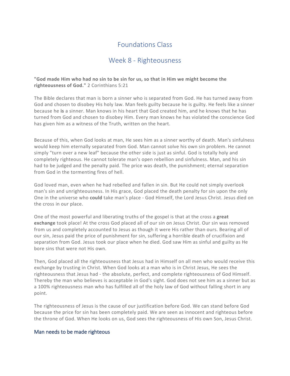# Week 8 - Righteousness

## **"God made Him who had no sin to be sin for us, so that in Him we might become the righteousness of God."** 2 Corinthians 5:21

The Bible declares that man is born a sinner who is separated from God. He has turned away from God and chosen to disobey His holy law. Man feels guilty because he is guilty. He feels like a sinner because he **is** a sinner. Man knows in his heart that God created him, and he knows that he has turned from God and chosen to disobey Him. Every man knows he has violated the conscience God has given him as a witness of the Truth, written on the heart.

Because of this, when God looks at man, He sees him as a sinner worthy of death. Man's sinfulness would keep him eternally separated from God. Man cannot solve his own sin problem. He cannot simply "turn over a new leaf" because the other side is just as sinful. God is totally holy and completely righteous. He cannot tolerate man's open rebellion and sinfulness. Man, and his sin had to be judged and the penalty paid. The price was death, the punishment; eternal separation from God in the tormenting fires of hell.

God loved man, even when he had rebelled and fallen in sin. But He could not simply overlook man's sin and unrighteousness. In His grace, God placed the death penalty for sin upon the only One in the universe who **could** take man's place - God Himself, the Lord Jesus Christ. Jesus died on the cross in our place.

One of the most powerful and liberating truths of the gospel is that at the cross a **great exchange** took place! At the cross God placed all of our sin on Jesus Christ. Our sin was removed from us and completely accounted to Jesus as though it were His rather than ours. Bearing all of our sin, Jesus paid the price of punishment for sin, suffering a horrible death of crucifixion and separation from God. Jesus took our place when he died. God saw Him as sinful and guilty as He bore sins that were not His own.

Then, God placed all the righteousness that Jesus had in Himself on all men who would receive this exchange by trusting in Christ. When God looks at a man who is in Christ Jesus, He sees the righteousness that Jesus had - the absolute, perfect, and complete righteousness of God Himself. Thereby the man who believes is acceptable in God's sight. God does not see him as a sinner but as a 100% righteousness man who has fulfilled all of the holy law of God without falling short in any point.

The righteousness of Jesus is the cause of our justification before God. We can stand before God because the price for sin has been completely paid. We are seen as innocent and righteous before the throne of God. When He looks on us, God sees the righteousness of His own Son, Jesus Christ.

## Man needs to be made righteous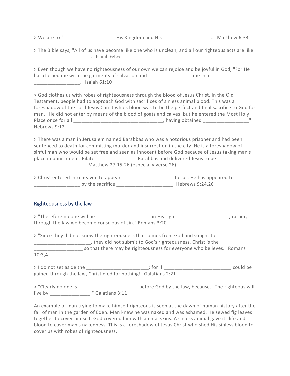> We are to "\_\_\_\_\_\_\_\_\_\_\_\_\_\_\_\_\_\_\_ His Kingdom and His \_\_\_\_\_\_\_\_\_\_\_\_\_\_\_\_\_..." Matthew 6:33

| > The Bible says, "All of us have become like one who is unclean, and all our righteous acts are like |                |  |  |  |  |
|-------------------------------------------------------------------------------------------------------|----------------|--|--|--|--|
|                                                                                                       | ." Isaiah 64:6 |  |  |  |  |

> Even though we have no righteousness of our own we can rejoice and be joyful in God, "For He has clothed me with the garments of salvation and Theorem and Theorem in a \_\_\_\_\_\_\_\_\_\_\_\_\_\_\_\_\_." Isaiah 61:10

> God clothes us with robes of righteousness through the blood of Jesus Christ. In the Old Testament, people had to approach God with sacrifices of sinless animal blood. This was a foreshadow of the Lord Jesus Christ who's blood was to be the perfect and final sacrifice to God for man. "He did not enter by means of the blood of goats and calves, but he entered the Most Holy Place once for all \_\_\_\_\_\_\_\_\_\_\_\_\_\_\_\_\_\_\_\_\_\_\_\_\_\_\_\_\_\_\_\_\_, having obtained \_\_\_\_\_\_\_\_\_\_\_\_\_\_\_\_\_". Hebrews 9:12

> There was a man in Jerusalem named Barabbas who was a notorious prisoner and had been sentenced to death for committing murder and insurrection in the city. He is a foreshadow of sinful man who would be set free and seen as innocent before God because of Jesus taking man's place in punishment. Pilate \_\_\_\_\_\_\_\_\_\_\_\_\_\_\_ Barabbas and delivered Jesus to be \_\_\_\_\_\_\_\_\_\_\_\_\_\_\_\_\_\_\_. Matthew 27:15-26 (especially verse 26).

| > Christ entered into heaven to appear | for us. He has appeared to |
|----------------------------------------|----------------------------|
| by the sacrifice                       | . Hebrews 9:24,26          |

# Righteousness by the law

> "Therefore no one will be \_\_\_\_\_\_\_\_\_\_\_\_\_\_\_\_\_\_\_\_\_\_\_ in His sight \_\_\_\_\_\_\_\_\_\_\_\_\_\_\_\_\_\_\_\_; rather, through the law we become conscious of sin." Romans 3:20

> "Since they did not know the righteousness that comes from God and sought to \_\_\_\_\_\_\_\_\_\_\_\_\_\_\_\_\_\_\_\_\_, they did not submit to God's righteousness. Christ is the so that there may be righteousness for everyone who believes." Romans 10:3,4

> I do not set aside the the the the set aside the the set of the set of the set of the set of the set of the set of the set of the set of the set of the set of the set of the set of the set of the set of the set of the se gained through the law, Christ died for nothing!" Galatians 2:21

> "Clearly no one is \_\_\_\_\_\_\_\_\_\_\_\_\_\_\_\_\_\_\_\_\_\_\_ before God by the law, because. "The righteous will live by \_\_\_\_\_\_\_\_\_\_\_\_\_\_\_." Galatians 3:11

An example of man trying to make himself righteous is seen at the dawn of human history after the fall of man in the garden of Eden. Man knew he was naked and was ashamed. He sewed fig leaves together to cover himself. God covered him with animal skins. A sinless animal gave its life and blood to cover man's nakedness. This is a foreshadow of Jesus Christ who shed His sinless blood to cover us with robes of righteousness.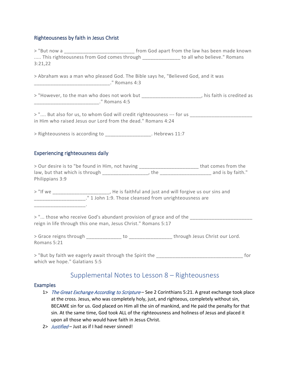# Righteousness by faith in Jesus Christ

| 3:21,22                       |                                                                                                                                                                             | > "But now a ______________________________ from God apart from the law has been made known<br>This righteousness from God comes through ______________ to all who believe." Romans                |
|-------------------------------|-----------------------------------------------------------------------------------------------------------------------------------------------------------------------------|----------------------------------------------------------------------------------------------------------------------------------------------------------------------------------------------------|
|                               | > Abraham was a man who pleased God. The Bible says he, "Believed God, and it was                                                                                           |                                                                                                                                                                                                    |
|                               |                                                                                                                                                                             | > "However, to the man who does not work but _______________________, his faith is credited as                                                                                                     |
|                               | in Him who raised Jesus our Lord from the dead." Romans 4:24                                                                                                                | > " But also for us, to whom God will credit righteousness --- for us _________________________                                                                                                    |
|                               | > Righteousness is according to _________________. Hebrews 11:7                                                                                                             |                                                                                                                                                                                                    |
|                               | Experiencing righteousness daily                                                                                                                                            |                                                                                                                                                                                                    |
| Philippians 3:9               |                                                                                                                                                                             | > Our desire is to "be found in Him, not having __________________________that comes from the<br>law, but that which is through ___________________, the _______________________ and is by faith." |
| ____________________          | > "If we _______________________, He is faithful and just and will forgive us our sins and<br>_______________________." 1 John 1:9. Those cleansed from unrighteousness are |                                                                                                                                                                                                    |
|                               | > " those who receive God's abundant provision of grace and of the<br>reign in life through this one man, Jesus Christ." Romans 5:17                                        |                                                                                                                                                                                                    |
| Romans 5:21                   |                                                                                                                                                                             |                                                                                                                                                                                                    |
| which we hope." Galatians 5:5 |                                                                                                                                                                             |                                                                                                                                                                                                    |
|                               | Supplemental Notes to Lesson 8 - Righteousness                                                                                                                              |                                                                                                                                                                                                    |

## Examples

- 1> The Great Exchange According to Scripture See 2 Corinthians 5:21. A great exchange took place at the cross. Jesus, who was completely holy, just, and righteous, completely without sin, BECAME sin for us. God placed on Him all the sin of mankind, and He paid the penalty for that sin. At the same time, God took ALL of the righteousness and holiness of Jesus and placed it upon all those who would have faith in Jesus Christ.
- 2> Justified Just as if I had never sinned!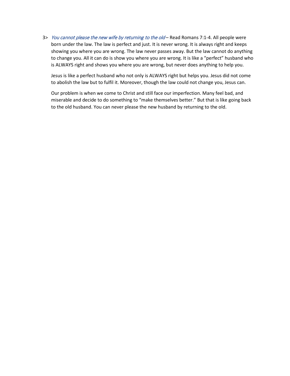3> You cannot please the new wife by returning to the old - Read Romans 7:1-4. All people were born under the law. The law is perfect and just. It is never wrong. It is always right and keeps showing you where you are wrong. The law never passes away. But the law cannot do anything to change you. All it can do is show you where you are wrong. It is like a "perfect" husband who is ALWAYS right and shows you where you are wrong, but never does anything to help you.

Jesus is like a perfect husband who not only is ALWAYS right but helps you. Jesus did not come to abolish the law but to fulfil it. Moreover, though the law could not change you, Jesus can.

Our problem is when we come to Christ and still face our imperfection. Many feel bad, and miserable and decide to do something to "make themselves better." But that is like going back to the old husband. You can never please the new husband by returning to the old.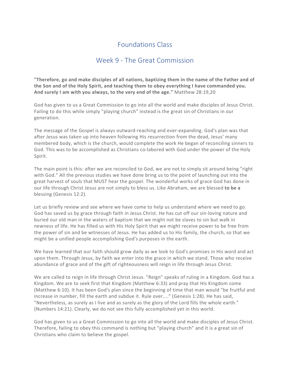# Week 9 - The Great Commission

**"Therefore, go and make disciples of all nations, baptizing them in the name of the Father and of the Son and of the Holy Spirit, and teaching them to obey everything I have commanded you. And surely I am with you always, to the very end of the age."** Matthew 28:19,20

God has given to us a Great Commission to go into all the world and make disciples of Jesus Christ. Failing to do this while simply "playing church" instead is the great sin of Christians in our generation.

The message of the Gospel is always outward-reaching and ever-expanding. God's plan was that after Jesus was taken up into heaven following His resurrection from the dead, Jesus' many membered body, which is the church, would complete the work He began of reconciling sinners to God. This was to be accomplished as Christians co-labored with God under the power of the Holy Spirit.

The main point is this: after we are reconciled to God, we are not to simply sit around being "right with God." All the previous studies we have done bring us to the point of launching out into the great harvest of souls that MUST hear the gospel. The wonderful works of grace God has done in our life through Christ Jesus are not simply to bless us. Like Abraham, we are blessed **to be a** blessing (Genesis 12:2).

Let us briefly review and see where we have come to help us understand where we need to go. God has saved us by grace through faith in Jesus Christ. He has cut off our sin-loving nature and buried our old man in the waters of baptism that we might not be slaves to sin but walk in newness of life. He has filled us with His Holy Spirit that we might receive power to be free from the power of sin and be witnesses of Jesus. He has added us to His family, the church, so that we might be a unified people accomplishing God's purposes in the earth.

We have learned that our faith should grow daily as we look to God's promises in His word and act upon them. Through Jesus, by faith we enter into the grace in which we stand. Those who receive abundance of grace and of the gift of righteousness will reign in life through Jesus Christ.

We are called to reign in life through Christ Jesus. "Reign" speaks of ruling in a Kingdom. God has a Kingdom. We are to seek first that Kingdom (Matthew 6:33) and pray that His Kingdom come (Matthew 6:10). It has been God's plan since the beginning of time that man would "be fruitful and increase in number, fill the earth and subdue it. Rule over...." (Genesis 1:28). He has said, "Nevertheless, as surely as I live and as surely as the glory of the Lord fills the whole earth." (Numbers 14:21). Clearly, we do not see this fully accomplished yet in this world.

God has given to us a Great Commission to go into all the world and make disciples of Jesus Christ. Therefore, failing to obey this command is nothing but "playing church" and it is a great sin of Christians who claim to believe the gospel.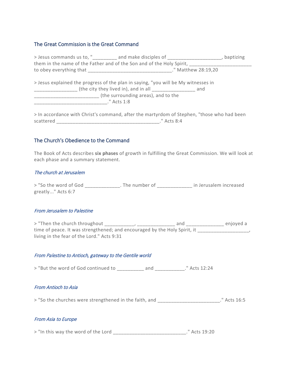## The Great Commission is the Great Command

| > Jesus commands us to, "_________ and make disciples of _______________________           |                                     | , baptizing         |
|--------------------------------------------------------------------------------------------|-------------------------------------|---------------------|
| them in the name of the Father and of the Son and of the Holy Spirit,                      |                                     |                     |
|                                                                                            |                                     | ." Matthew 28:19,20 |
| > Jesus explained the progress of the plan in saying, "you will be My witnesses in         |                                     |                     |
|                                                                                            |                                     |                     |
|                                                                                            | (the surrounding areas), and to the |                     |
| $" \text{Acts} 1:8$                                                                        |                                     |                     |
|                                                                                            |                                     |                     |
| > In accordance with Christ's command, after the martyrdom of Stephen, "those who had been |                                     |                     |

## The Church's Obedience to the Command

scattered \_\_\_\_\_\_\_\_\_\_\_\_\_\_\_\_\_\_\_\_\_\_\_\_\_\_\_\_\_\_\_\_\_\_\_\_\_\_." Acts 8:4

The Book of Acts describes **six phases** of growth in fulfilling the Great Commission. We will look at each phase and a summary statement.

#### The church at Jerusalem

> "So the word of God \_\_\_\_\_\_\_\_\_\_\_\_\_. The number of \_\_\_\_\_\_\_\_\_\_\_\_\_\_\_ in Jerusalem increased greatly..." Acts 6:7

#### From Jerusalem to Palestine

> "Then the church throughout \_\_\_\_\_\_\_\_\_\_, \_\_\_\_\_\_\_\_\_\_\_\_\_\_\_ and \_\_\_\_\_\_\_\_\_\_\_\_\_\_\_\_ enjoyed a time of peace. It was strengthened; and encouraged by the Holy Spirit, it \_\_\_\_\_\_\_\_\_\_\_\_ living in the fear of the Lord." Acts 9:31

## From Palestine to Antioch, gateway to the Gentile world

> "But the word of God continued to \_\_\_\_\_\_\_\_\_\_ and \_\_\_\_\_\_\_\_\_\_\_." Acts 12:24

## From Antioch to Asia

> "So the churches were strengthened in the faith, and \_\_\_\_\_\_\_\_\_\_\_\_\_\_\_\_\_\_\_\_\_\_\_." Acts 16:5

## From Asia to Europe

> "In this way the word of the Lord \_\_\_\_\_\_\_\_\_\_\_\_\_\_\_\_\_\_\_\_\_\_\_\_\_\_\_." Acts 19:20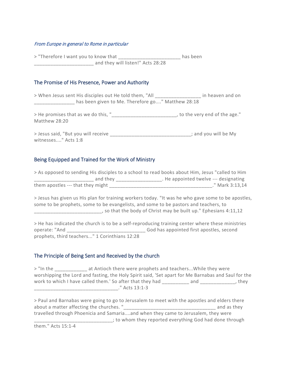## From Europe in general to Rome in particular

> "Therefore I want you to know that \_\_\_\_\_\_\_\_\_\_\_\_\_\_\_\_\_\_\_\_\_\_\_\_\_\_\_ has been \_\_\_\_\_\_\_\_\_\_\_\_\_\_\_\_\_\_\_\_\_\_ and they will listen!" Acts 28:28

## The Promise of His Presence, Power and Authority

> When Jesus sent His disciples out He told them, "All \_\_\_\_\_\_\_\_\_\_\_\_\_\_\_\_\_ in heaven and on \_\_\_\_\_\_\_\_\_\_\_\_\_\_\_ has been given to Me. Therefore go...." Matthew 28:18

> He promises that as we do this, " The very end of the age." Matthew 28:20

> Jesus said, "But you will receive \_\_\_\_\_\_\_\_\_\_\_\_\_\_\_\_\_\_\_\_\_\_\_\_\_\_\_\_\_\_\_\_\_; and you will be My witnesses...." Acts 1:8

## Being Equipped and Trained for the Work of Ministry

> As opposed to sending His disciples to a school to read books about Him, Jesus "called to Him **\_\_\_\_\_\_\_\_\_** and they \_\_\_\_\_\_\_\_\_\_\_\_\_\_\_\_\_\_\_. He appointed twelve --- designating them apostles --- that they might \_\_\_\_\_\_\_\_\_\_\_\_\_\_\_\_\_\_\_\_\_\_\_\_\_\_\_\_\_\_\_\_\_\_\_\_\_\_." Mark 3:13,14

> Jesus has given us His plan for training workers today. "It was he who gave some to be apostles, some to be prophets, some to be evangelists, and some to be pastors and teachers, to  $\frac{1}{2}$  so that the body of Christ may be built up." Ephesians 4:11,12

> He has indicated the church is to be a self-reproducing training center where these ministries operate: "And \_\_\_\_\_\_\_\_\_\_\_\_\_\_\_\_\_\_\_\_\_\_\_\_\_\_\_\_\_ God has appointed first apostles, second prophets, third teachers..." 1 Corinthians 12:28

## The Principle of Being Sent and Received by the church

> "In the The at Antioch there were prophets and teachers...While they were worshipping the Lord and fasting, the Holy Spirit said, 'Set apart for Me Barnabas and Saul for the work to which I have called them.' So after that they had \_\_\_\_\_\_\_\_\_\_ and \_\_\_\_\_\_\_\_\_\_\_\_\_, they \_\_\_\_\_\_\_\_\_\_\_\_\_\_\_\_\_\_\_\_\_\_\_\_\_\_\_\_\_\_\_." Acts 13:1-3

> Paul and Barnabas were going to go to Jerusalem to meet with the apostles and elders there about a matter affecting the churches. " The contract of the churches and as they travelled through Phoenicia and Samaria....and when they came to Jerusalem, they were \_\_\_\_\_\_\_\_\_\_\_\_\_\_\_\_\_\_\_\_\_\_\_\_\_\_\_\_\_; to whom they reported everything God had done through

them." Acts 15:1-4